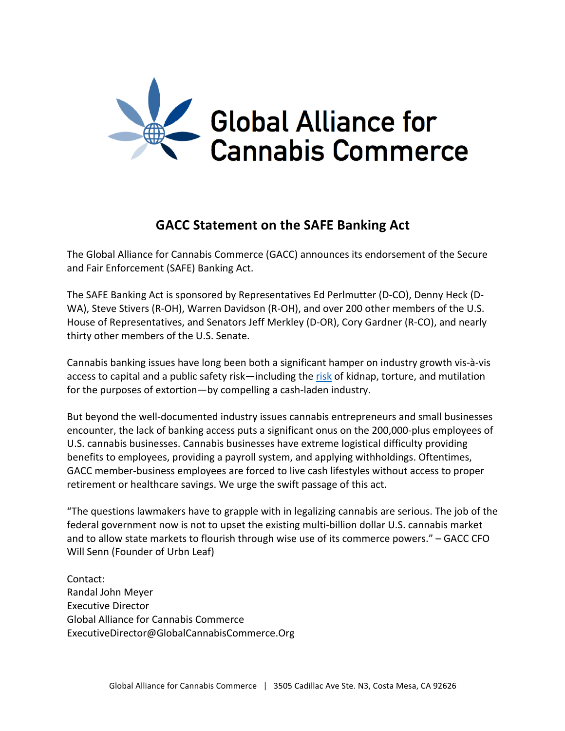

# **GACC Statement on the SAFE Banking Act**

The Global Alliance for Cannabis Commerce (GACC) announces its endorsement of the Secure and Fair Enforcement (SAFE) Banking Act.

The SAFE Banking Act is sponsored by Representatives Ed Perlmutter (D-CO), Denny Heck (D-WA), Steve Stivers (R-OH), Warren Davidson (R-OH), and over 200 other members of the U.S. House of Representatives, and Senators Jeff Merkley (D-OR), Cory Gardner (R-CO), and nearly thirty other members of the U.S. Senate.

Cannabis banking issues have long been both a significant hamper on industry growth vis-à-vis access to capital and a public safety risk—including the risk of kidnap, torture, and mutilation for the purposes of extortion—by compelling a cash-laden industry.

But beyond the well-documented industry issues cannabis entrepreneurs and small businesses encounter, the lack of banking access puts a significant onus on the 200,000-plus employees of U.S. cannabis businesses. Cannabis businesses have extreme logistical difficulty providing benefits to employees, providing a payroll system, and applying withholdings. Oftentimes, GACC member-business employees are forced to live cash lifestyles without access to proper retirement or healthcare savings. We urge the swift passage of this act.

"The questions lawmakers have to grapple with in legalizing cannabis are serious. The job of the federal government now is not to upset the existing multi-billion dollar U.S. cannabis market and to allow state markets to flourish through wise use of its commerce powers." – GACC CFO Will Senn (Founder of Urbn Leaf)

Contact: Randal John Meyer Executive Director Global Alliance for Cannabis Commerce ExecutiveDirector@GlobalCannabisCommerce.Org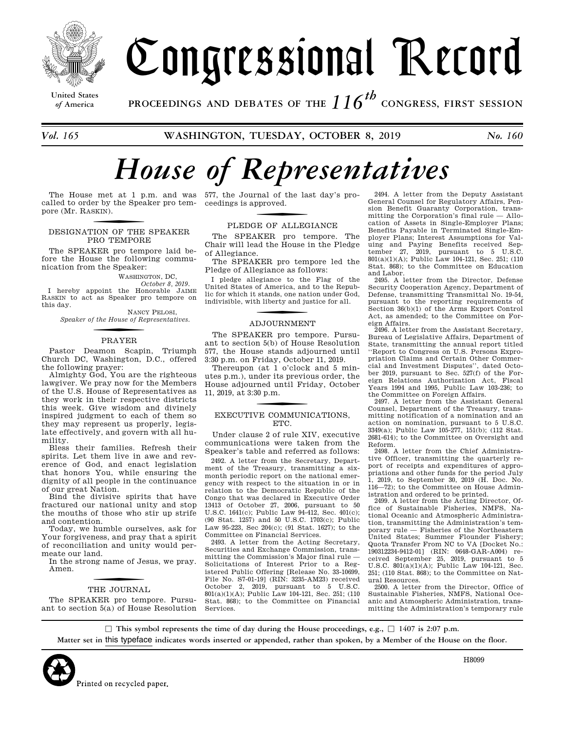

# Congressional Record

**United States**

*of* **America PROCEEDINGS AND DEBATES OF THE** *116th*  **CONGRESS, FIRST SESSION**

*Vol. 165* **WASHINGTON, TUESDAY, OCTOBER 8, 2019** *No. 160* 

# *House of Representatives*

called to order by the Speaker pro tem-ceedings is approved. pore (Mr. RASKIN ).

# <u>for the second contract of the second contract of the second contract of the second contract of the second contract of the second contract of the second contract of the second contract of the second contract of the second</u> DESIGNATION OF THE SPEAKER PRO TEMPORE

The SPEAKER pro tempore laid before the House the following communication from the Speaker:

WASHINGTON, DC,

*October 8, 2019.*  I hereby appoint the Honorable JAIME RASKIN to act as Speaker pro tempore on this day.

NANCY PELOSI, *Speaker of the House of Representatives.* 

# <u>for the second contract of the second contract of the second contract of the second contract of the second contract of the second contract of the second contract of the second contract of the second contract of the second</u> PRAYER

Pastor Deamon Scapin, Triumph Church DC, Washington, D.C., offered the following prayer:

Almighty God, You are the righteous lawgiver. We pray now for the Members of the U.S. House of Representatives as they work in their respective districts this week. Give wisdom and divinely inspired judgment to each of them so they may represent us properly, legislate effectively, and govern with all humility.

Bless their families. Refresh their spirits. Let them live in awe and reverence of God, and enact legislation that honors You, while ensuring the dignity of all people in the continuance of our great Nation.

Bind the divisive spirits that have fractured our national unity and stop the mouths of those who stir up strife and contention.

Today, we humble ourselves, ask for Your forgiveness, and pray that a spirit of reconciliation and unity would permeate our land.

In the strong name of Jesus, we pray. Amen.

# <u>for the second contract of the second contract of the second contract of the second contract of the second contract of the second contract of the second contract of the second contract of the second contract of the second</u> THE JOURNAL

The SPEAKER pro tempore. Pursuant to section 5(a) of House Resolution

The House met at 1 p.m. and was 577, the Journal of the last day's pro-

# <u>for the second contract of the second contract of the second contract of the second contract of the second contract of the second contract of the second contract of the second contract of the second contract of the second</u> PLEDGE OF ALLEGIANCE

The SPEAKER pro tempore. The Chair will lead the House in the Pledge of Allegiance.

The SPEAKER pro tempore led the Pledge of Allegiance as follows:

I pledge allegiance to the Flag of the United States of America, and to the Republic for which it stands, one nation under God, indivisible, with liberty and justice for all.

## <u>for the second contract of the second contract of the second contract of the second contract of the second contract of the second contract of the second contract of the second contract of the second contract of the second</u> ADJOURNMENT

The SPEAKER pro tempore. Pursuant to section 5(b) of House Resolution 577, the House stands adjourned until 3:30 p.m. on Friday, October 11, 2019.

Thereupon (at 1 o'clock and 5 minutes p.m.), under its previous order, the House adjourned until Friday, October 11, 2019, at 3:30 p.m.

# $f(x) = \frac{f(x)}{f(x)}$ EXECUTIVE COMMUNICATIONS, ETC.

Under clause 2 of rule XIV, executive communications were taken from the Speaker's table and referred as follows:

2492. A letter from the Secretary, Department of the Treasury, transmitting a sixmonth periodic report on the national emergency with respect to the situation in or in relation to the Democratic Republic of the Congo that was declared in Executive Order 13413 of October 27, 2006, pursuant to 50 U.S.C. 1641(c); Public Law 94-412, Sec. 401(c); (90 Stat. 1257) and 50 U.S.C. 1703(c); Public Law 95-223, Sec 204(c); (91 Stat. 1627); to the Committee on Financial Services.

2493. A letter from the Acting Secretary, Securities and Exchange Commission, transmitting the Commission's Major final rule — Solicitations of Interest Prior to a Registered Public Offering [Release No. 33-10699, File No. S7-01-19] (RIN: 3235-AM23) received October 2, 2019, pursuant to 5 U.S.C. 801(a)(1)(A); Public Law 104-121, Sec. 251; (110 Stat. 868); to the Committee on Financial Services.

2494. A letter from the Deputy Assistant General Counsel for Regulatory Affairs, Pension Benefit Guaranty Corporation, transmitting the Corporation's final rule — Allocation of Assets in Single-Employer Plans; Benefits Payable in Terminated Single-Employer Plans; Interest Assumptions for Valuing and Paying Benefits received Sep-tember 27, 2019, pursuant to 5 U.S.C. 801(a)(1)(A); Public Law 104-121, Sec. 251; (110 Stat. 868); to the Committee on Education and Labor.

2495. A letter from the Director, Defense Security Cooperation Agency, Department of Defense, transmitting Transmittal No. 19-54, pursuant to the reporting requirements of Section 36(b)(1) of the Arms Export Control Act, as amended; to the Committee on Foreign Affairs.

2496. A letter from the Assistant Secretary, Bureau of Legislative Affairs, Department of State, transmitting the annual report titled ''Report to Congress on U.S. Persons Expropriation Claims and Certain Other Commercial and Investment Disputes'', dated October 2019, pursuant to Sec. 527(f) of the Foreign Relations Authorization Act, Fiscal Years 1994 and 1995, Public Law 103-236; to the Committee on Foreign Affairs.

2497. A letter from the Assistant General Counsel, Department of the Treasury, transmitting notification of a nomination and an action on nomination, pursuant to 5 U.S.C. 3349(a); Public Law 105-277, 151(b); (112 Stat. 2681-614); to the Committee on Oversight and Reform.

2498. A letter from the Chief Administrative Officer, transmitting the quarterly report of receipts and expenditures of appropriations and other funds for the period July 1, 2019, to September 30, 2019 (H. Doc. No. 116—72); to the Committee on House Administration and ordered to be printed.

2499. A letter from the Acting Director, Office of Sustainable Fisheries, NMFS, National Oceanic and Atmospheric Administration, transmitting the Administration's temporary rule — Fisheries of the Northeastern United States; Summer Flounder Fishery; Quota Transfer From NC to VA [Docket No.: 190312234-9412-01] (RIN: 0648-GAR-A004) re-ceived September 25, 2019, pursuant to 5 U.S.C. 801(a)(1)(A); Public Law 104-121, Sec. 251; (110 Stat. 868); to the Committee on Natural Resources.

2500. A letter from the Director, Office of Sustainable Fisheries, NMFS, National Oceanic and Atmospheric Administration, transmitting the Administration's temporary rule

 $\Box$  This symbol represents the time of day during the House proceedings, e.g.,  $\Box$  1407 is 2:07 p.m. **Matter set in** this typeface **indicates words inserted or appended, rather than spoken, by a Member of the House on the floor.**



H8099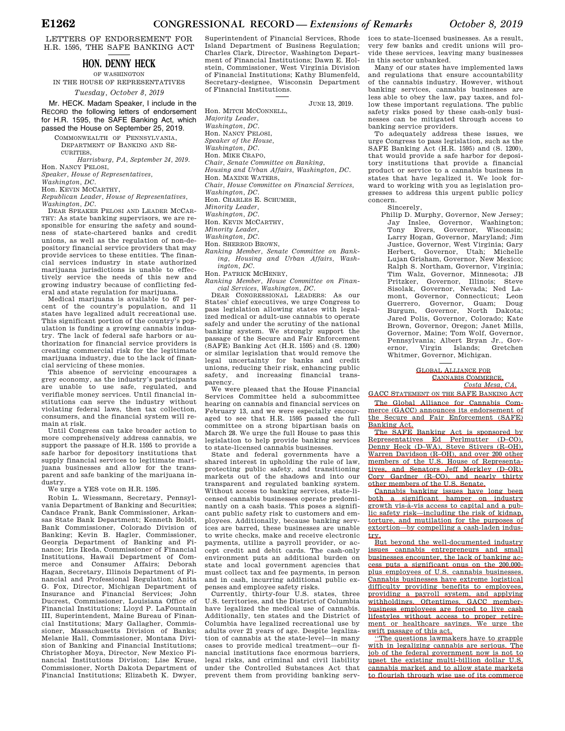LETTERS OF ENDORSEMENT FOR H.R. 1595, THE SAFE BANKING ACT

# **HON. DENNY HECK**

OF WASHINGTON IN THE HOUSE OF REPRESENTATIVES

*Tuesday, October 8, 2019* 

Mr. HECK. Madam Speaker, I include in the RECORD the following letters of endorsement for H.R. 1595, the SAFE Banking Act, which passed the House on September 25, 2019.

COMMONWEALTH OF PENNSYLVANIA, DEPARTMENT OF BANKING AND SE-CURITUES.

*Harrisburg, PA, September 24, 2019.*  Hon. NANCY PELOSI,

*Speaker, House of Representatives,* 

*Washington, DC.* 

Hon. KEVIN MCCARTHY,

*Republican Leader, House of Representatives, Washington, DC.* 

DEAR SPEAKER PELOSI AND LEADER MCCAR-THY: As state banking supervisors, we are responsible for ensuring the safety and soundness of state-chartered banks and credit unions, as well as the regulation of non-depository financial service providers that may provide services to these entities. The financial services industry in state authorized marijuana jurisdictions is unable to effectively service the needs of this new and growing industry because of conflicting federal and state regulation for marijuana.

Medical marijuana is available to 67 percent of the country's population, and 11 states have legalized adult recreational use. This significant portion of the country's population is funding a growing cannabis industry. The lack of federal safe harbors or authorization for financial service providers is creating commercial risk for the legitimate marijuana industry, due to the lack of financial servicing of these monies.

This absence of servicing encourages a grey economy, as the industry's participants are unable to use safe, regulated, and verifiable money services. Until financial institutions can serve the industry without violating federal laws, then tax collection, consumers, and the financial system will remain at risk.

Until Congress can take broader action to more comprehensively address cannabis, we support the passage of H.R. 1595 to provide a safe harbor for depository institutions that supply financial services to legitimate marijuana businesses and allow for the transparent and safe banking of the marijuana industry.

We urge a YES vote on H.R. 1595.

Robin L. Wiessmann, Secretary, Pennsylvania Department of Banking and Securities; Candace Frank, Bank Commissioner, Arkansas State Bank Department; Kenneth Boldt, Bank Commissioner, Colorado Division of Banking; Kevin B. Hagler, Commissioner, Georgia Department of Banking and Finance; Iris Ikeda, Commissioner of Financial Institutions, Hawaii Department of Commerce and Consumer Affairs; Deborah Hagan, Secretary, Illinois Department of Financial and Professional Regulation; Anita G. Fox, Director, Michigan Department of Insurance and Financial Services; John Ducrest, Commissioner, Louisiana Office of Financial Institutions; Lloyd P. LaFountain III, Superintendent, Maine Bureau of Financial Institutions; Mary Gallagher, Commissioner, Massachusetts Division of Banks; Melanie Hall, Commissioner, Montana Division of Banking and Financial Institutions; Christopher Moya, Director, New Mexico Financial Institutions Division; Lise Kruse, Commissioner, North Dakota Department of Financial Institutions; Elizabeth K. Dwyer, Superintendent of Financial Services, Rhode Island Department of Business Regulation; Charles Clark, Director, Washington Department of Financial Institutions; Dawn E. Holstein, Commissioner, West Virginia Division of Financial Institutions; Kathy Blumenfeld, Secretary-designee, Wisconsin Department of Financial Institutions.

JUNE 13, 2019.

Hon. MITCH MCCONNELL,

*Majority Leader, Washington, DC.* 

Hon. NANCY PELOSI,

*Speaker of the House, Washington, DC.* 

Hon. MIKE CRAPO,

*Chair, Senate Committee on Banking,* 

- *Housing and Urban Affairs, Washington, DC.*
- Hon. MAXINE WATERS,

*Chair, House Committee on Financial Services,* 

*Washington, DC.* 

Hon. CHARLES E. SCHUMER,

*Minority Leader,* 

*Washington, DC.* 

Hon. KEVIN MCCARTHY,

*Minority Leader,* 

*Washington, DC.*  Hon. SHERROD BROWN,

*Ranking Member, Senate Committee on Banking, Housing and Urban Affairs, Washington, DC.* 

Hon. PATRICK MCHENRY,

*Ranking Member, House Committee on Financial Services, Washington, DC.* 

DEAR CONGRESSIONAL LEADERS: As our States' chief executives, we urge Congress to pass legislation allowing states with legalized medical or adult-use cannabis to operate safely and under the scrutiny of the national banking system. We strongly support the passage of the Secure and Fair Enforcement (SAFE) Banking Act (H.R. 1595) and (S. 1200) or similar legislation that would remove the legal uncertainty for banks and credit unions, reducing their risk, enhancing public<br>safety, and increasing financial transsafety, and increasing financial parency.

We were pleased that the House Financial Services Committee held a subcommittee hearing on cannabis and financial services on February 13, and we were especially encouraged to see that H.R. 1595 passed the full committee on a strong bipartisan basis on March 28. We urge the full House to pass this legislation to help provide banking services to state-licensed cannabis businesses.

State and federal governments have a shared interest in upholding the rule of law, protecting public safety, and transitioning markets out of the shadows and into our transparent and regulated banking system. Without access to banking services, state-licensed cannabis businesses operate predominantly on a cash basis. This poses a significant public safety risk to customers and employees. Additionally, because banking services are barred, these businesses are unable to write checks, make and receive electronic payments, utilize a payroll provider, or accept credit and debit cards. The cash-only environment puts an additional burden on state and local government agencies that must collect tax and fee payments, in person and in cash, incurring additional public ex-

penses and employee safety risks. Currently, thirty-four U.S. states, three U.S. territories, and the District of Columbia have legalized the medical use of cannabis. Additionally, ten states and the District of Columbia have legalized recreational use by adults over 21 years of age. Despite legalization of cannabis at the state-level—in many cases to provide medical treatment—our financial institutions face enormous barriers, legal risks, and criminal and civil liability under the Controlled Substances Act that prevent them from providing banking services to state-licensed businesses. As a result, very few banks and credit unions will provide these services, leaving many businesses in this sector unbanked.

Many of our states have implemented laws and regulations that ensure accountability of the cannabis industry. However, without banking services, cannabis businesses are less able to obey the law, pay taxes, and follow these important regulations. The public safety risks posed by these cash-only businesses can be mitigated through access to banking service providers.

To adequately address these issues, we urge Congress to pass legislation, such as the SAFE Banking Act (H.R. 1595) and (S. 1200), that would provide a safe harbor for depository institutions that provide a financial product or service to a cannabis business in states that have legalized it. We look forward to working with you as legislation progresses to address this urgent public policy concern.

Sincerely,

Philip D. Murphy, Governor, New Jersey; Jay Inslee, Governor, Washington; Tony Evers, Governor, Wisconsin; Larry Hogan, Governor, Maryland; Jim Justice, Governor, West Virginia; Gary Herbert, Governor, Utah; Michelle Lujan Grisham, Governor, New Mexico; Ralph S. Northam, Governor, Virginia; Tim Walz, Governor, Minnesota; JB Pritzker, Governor, Illinois; Steve Sisolak, Governor, Nevada; Ned Lamont, Governor, Connecticut; Leon Guerrero, Governor, Guam; Doug Burgum, Governor, North Dakota; Jared Polis, Governor, Colorado; Kate Brown, Governor, Oregon; Janet Mills, Governor, Maine; Tom Wolf, Governor, Pennsylvania; Albert Bryan Jr., Gov-Virgin Islands; Gretchen Whitmer, Governor, Michigan.

#### GLOBAL ALLIANCE FOR CANNABIS COMMERCE, *Costa Mesa, CA.*

GACC STATEMENT ON THE SAFE BANKING ACT The Global Alliance for Cannabis Com-

merce (GACC) announces its endorsement of the Secure and Fair Enforcement (SAFE) Banking Act.

The SAFE Banking Act is sponsored by Representatives Ed Perlmutter (D–CO), Denny Heck (D–WA), Steve Stivers (R–OH), Warren Davidson (R–OH), and over 200 other members of the U.S. House of Representatives, and Senators Jeff Merkley (D–OR), Cory Gardner (R–CO), and nearly thirty other members of the U.S. Senate.

Cannabis banking issues have long been both a significant hamper on industry growth vis-a`-vis access to capital and a public safety risk—including the risk of kidnap, torture, and mutilation for the purposes of extortion—by compelling a cash-laden industry.

But beyond the well-documented industry issues cannabis entrepreneurs and small businesses encounter, the lack of banking access puts a significant onus on the 200,000 plus employees of U.S. cannabis businesses. Cannabis businesses have extreme logistical difficulty providing benefits to employees, providing a payroll system, and applying withholdings. Oftentimes, GACC memberbusiness employees are forced to live cash lifestyles without access to proper retirement or healthcare savings. We urge the swift passage of this act.

''The questions lawmakers have to grapple with in legalizing cannabis are serious. The job of the federal government now is not to upset the existing multi-billion dollar U.S. cannabis market and to allow state markets to flourish through wise use of its commerce